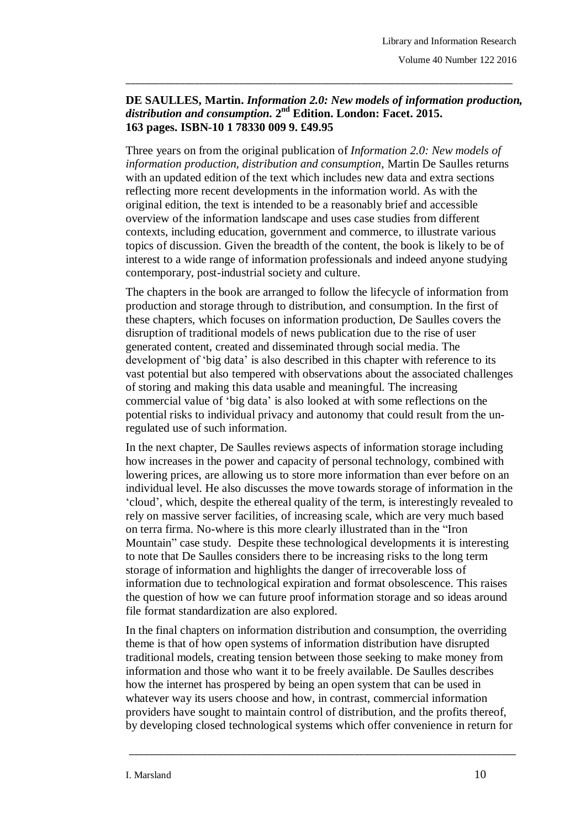## **DE SAULLES, Martin.** *Information 2.0: New models of information production, distribution and consumption.* **2 nd Edition. London: Facet. 2015. 163 pages. ISBN-10 1 78330 009 9. £49.95**

\_\_\_\_\_\_\_\_\_\_\_\_\_\_\_\_\_\_\_\_\_\_\_\_\_\_\_\_\_\_\_\_\_\_\_\_\_\_\_\_\_\_\_\_\_\_\_\_\_\_\_\_\_\_\_\_\_\_\_\_\_\_\_\_\_\_\_\_\_\_\_\_\_\_\_\_\_\_\_

Three years on from the original publication of *Information 2.0: New models of information production, distribution and consumption*, Martin De Saulles returns with an updated edition of the text which includes new data and extra sections reflecting more recent developments in the information world. As with the original edition, the text is intended to be a reasonably brief and accessible overview of the information landscape and uses case studies from different contexts, including education, government and commerce, to illustrate various topics of discussion. Given the breadth of the content, the book is likely to be of interest to a wide range of information professionals and indeed anyone studying contemporary, post-industrial society and culture.

The chapters in the book are arranged to follow the lifecycle of information from production and storage through to distribution, and consumption. In the first of these chapters, which focuses on information production, De Saulles covers the disruption of traditional models of news publication due to the rise of user generated content, created and disseminated through social media. The development of "big data" is also described in this chapter with reference to its vast potential but also tempered with observations about the associated challenges of storing and making this data usable and meaningful. The increasing commercial value of "big data" is also looked at with some reflections on the potential risks to individual privacy and autonomy that could result from the unregulated use of such information.

In the next chapter, De Saulles reviews aspects of information storage including how increases in the power and capacity of personal technology, combined with lowering prices, are allowing us to store more information than ever before on an individual level. He also discusses the move towards storage of information in the "cloud", which, despite the ethereal quality of the term, is interestingly revealed to rely on massive server facilities, of increasing scale, which are very much based on terra firma. No-where is this more clearly illustrated than in the "Iron Mountain" case study. Despite these technological developments it is interesting to note that De Saulles considers there to be increasing risks to the long term storage of information and highlights the danger of irrecoverable loss of information due to technological expiration and format obsolescence. This raises the question of how we can future proof information storage and so ideas around file format standardization are also explored.

In the final chapters on information distribution and consumption, the overriding theme is that of how open systems of information distribution have disrupted traditional models, creating tension between those seeking to make money from information and those who want it to be freely available. De Saulles describes how the internet has prospered by being an open system that can be used in whatever way its users choose and how, in contrast, commercial information providers have sought to maintain control of distribution, and the profits thereof, by developing closed technological systems which offer convenience in return for

\_\_\_\_\_\_\_\_\_\_\_\_\_\_\_\_\_\_\_\_\_\_\_\_\_\_\_\_\_\_\_\_\_\_\_\_\_\_\_\_\_\_\_\_\_\_\_\_\_\_\_\_\_\_\_\_\_\_\_\_\_\_\_\_\_\_\_\_\_\_\_\_\_\_\_\_\_\_\_